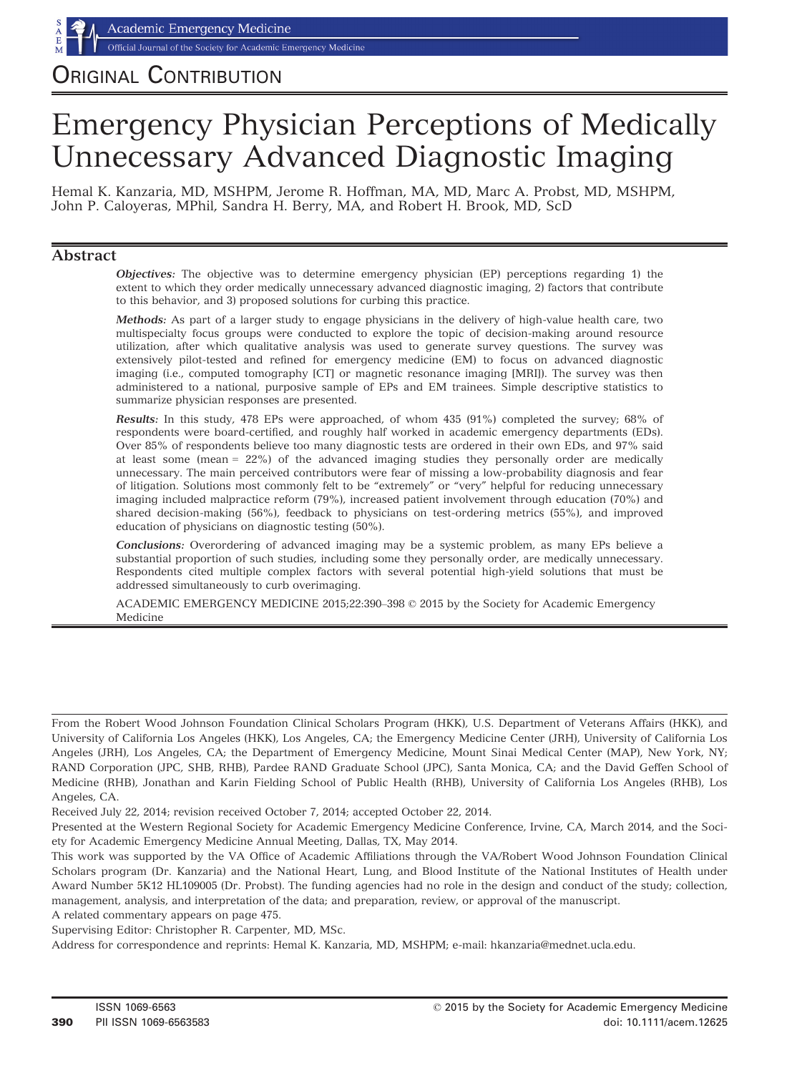Official Journal of the Society for Academic Emergency Medicine

# ORIGINAL CONTRIBUTION

# Emergency Physician Perceptions of Medically Unnecessary Advanced Diagnostic Imaging

Hemal K. Kanzaria, MD, MSHPM, Jerome R. Hoffman, MA, MD, Marc A. Probst, MD, MSHPM, John P. Caloyeras, MPhil, Sandra H. Berry, MA, and Robert H. Brook, MD, ScD

### Abstract

Objectives: The objective was to determine emergency physician (EP) perceptions regarding 1) the extent to which they order medically unnecessary advanced diagnostic imaging, 2) factors that contribute to this behavior, and 3) proposed solutions for curbing this practice.

Methods: As part of a larger study to engage physicians in the delivery of high-value health care, two multispecialty focus groups were conducted to explore the topic of decision-making around resource utilization, after which qualitative analysis was used to generate survey questions. The survey was extensively pilot-tested and refined for emergency medicine (EM) to focus on advanced diagnostic imaging (i.e., computed tomography [CT] or magnetic resonance imaging [MRI]). The survey was then administered to a national, purposive sample of EPs and EM trainees. Simple descriptive statistics to summarize physician responses are presented.

Results: In this study, 478 EPs were approached, of whom 435 (91%) completed the survey; 68% of respondents were board-certified, and roughly half worked in academic emergency departments (EDs). Over 85% of respondents believe too many diagnostic tests are ordered in their own EDs, and 97% said at least some (mean = 22%) of the advanced imaging studies they personally order are medically unnecessary. The main perceived contributors were fear of missing a low-probability diagnosis and fear of litigation. Solutions most commonly felt to be "extremely" or "very" helpful for reducing unnecessary imaging included malpractice reform (79%), increased patient involvement through education (70%) and shared decision-making (56%), feedback to physicians on test-ordering metrics (55%), and improved education of physicians on diagnostic testing (50%).

Conclusions: Overordering of advanced imaging may be a systemic problem, as many EPs believe a substantial proportion of such studies, including some they personally order, are medically unnecessary. Respondents cited multiple complex factors with several potential high-yield solutions that must be addressed simultaneously to curb overimaging.

ACADEMIC EMERGENCY MEDICINE 2015;22:390–398 © 2015 by the Society for Academic Emergency Medicine

From the Robert Wood Johnson Foundation Clinical Scholars Program (HKK), U.S. Department of Veterans Affairs (HKK), and University of California Los Angeles (HKK), Los Angeles, CA; the Emergency Medicine Center (JRH), University of California Los Angeles (JRH), Los Angeles, CA; the Department of Emergency Medicine, Mount Sinai Medical Center (MAP), New York, NY; RAND Corporation (JPC, SHB, RHB), Pardee RAND Graduate School (JPC), Santa Monica, CA; and the David Geffen School of Medicine (RHB), Jonathan and Karin Fielding School of Public Health (RHB), University of California Los Angeles (RHB), Los Angeles, CA.

Received July 22, 2014; revision received October 7, 2014; accepted October 22, 2014.

Presented at the Western Regional Society for Academic Emergency Medicine Conference, Irvine, CA, March 2014, and the Society for Academic Emergency Medicine Annual Meeting, Dallas, TX, May 2014.

This work was supported by the VA Office of Academic Affiliations through the VA/Robert Wood Johnson Foundation Clinical Scholars program (Dr. Kanzaria) and the National Heart, Lung, and Blood Institute of the National Institutes of Health under Award Number 5K12 HL109005 (Dr. Probst). The funding agencies had no role in the design and conduct of the study; collection, management, analysis, and interpretation of the data; and preparation, review, or approval of the manuscript.

A related commentary appears on page 475.

Supervising Editor: Christopher R. Carpenter, MD, MSc.

Address for correspondence and reprints: Hemal K. Kanzaria, MD, MSHPM; e-mail: hkanzaria@mednet.ucla.edu.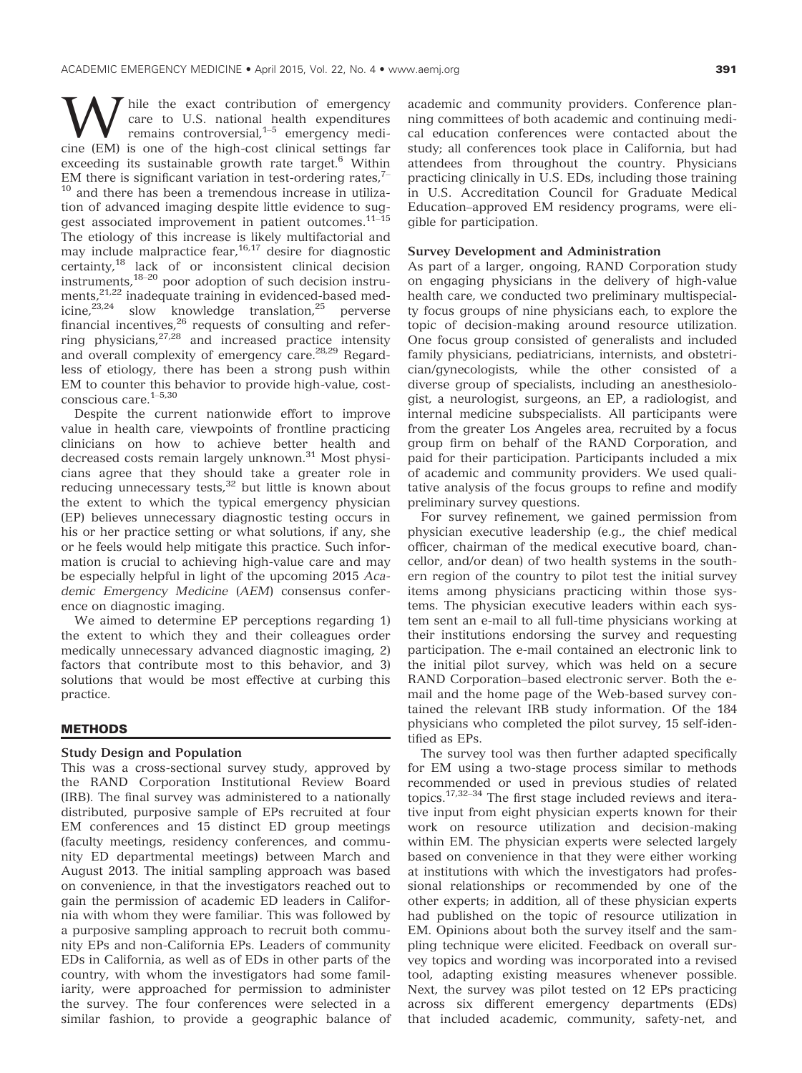While the exact contribution of emergency<br>remains controversial,<sup>1–5</sup> emergency medi-<br>cine (EM) is one of the high-cost clinical settings far care to U.S. national health expenditures cine (EM) is one of the high-cost clinical settings far exceeding its sustainable growth rate target. $6$  Within EM there is significant variation in test-ordering rates.<sup>7–</sup> <sup>10</sup> and there has been a tremendous increase in utilization of advanced imaging despite little evidence to suggest associated improvement in patient outcomes.<sup>11-15</sup> The etiology of this increase is likely multifactorial and may include malpractice fear,  $16.17$  desire for diagnostic certainty,<sup>18</sup> lack of or inconsistent clinical decision instruments,18–<sup>20</sup> poor adoption of such decision instruments,<sup>21,22</sup> inadequate training in evidenced-based medicine, $e^{23,24}$  slow knowledge translation, $e^{25}$  perverse financial incentives, $26$  requests of consulting and referring physicians,<sup>27,28</sup> and increased practice intensity and overall complexity of emergency care.<sup>28,29</sup> Regardless of etiology, there has been a strong push within EM to counter this behavior to provide high-value, costconscious care.1–5,30

Despite the current nationwide effort to improve value in health care, viewpoints of frontline practicing clinicians on how to achieve better health and decreased costs remain largely unknown.<sup>31</sup> Most physicians agree that they should take a greater role in reducing unnecessary tests,<sup>32</sup> but little is known about the extent to which the typical emergency physician (EP) believes unnecessary diagnostic testing occurs in his or her practice setting or what solutions, if any, she or he feels would help mitigate this practice. Such information is crucial to achieving high-value care and may be especially helpful in light of the upcoming 2015 Academic Emergency Medicine (AEM) consensus conference on diagnostic imaging.

We aimed to determine EP perceptions regarding 1) the extent to which they and their colleagues order medically unnecessary advanced diagnostic imaging, 2) factors that contribute most to this behavior, and 3) solutions that would be most effective at curbing this practice.

# <u>methods in the second second</u>

#### Study Design and Population

This was a cross-sectional survey study, approved by the RAND Corporation Institutional Review Board (IRB). The final survey was administered to a nationally distributed, purposive sample of EPs recruited at four EM conferences and 15 distinct ED group meetings (faculty meetings, residency conferences, and community ED departmental meetings) between March and August 2013. The initial sampling approach was based on convenience, in that the investigators reached out to gain the permission of academic ED leaders in California with whom they were familiar. This was followed by a purposive sampling approach to recruit both community EPs and non-California EPs. Leaders of community EDs in California, as well as of EDs in other parts of the country, with whom the investigators had some familiarity, were approached for permission to administer the survey. The four conferences were selected in a similar fashion, to provide a geographic balance of academic and community providers. Conference planning committees of both academic and continuing medical education conferences were contacted about the study; all conferences took place in California, but had attendees from throughout the country. Physicians practicing clinically in U.S. EDs, including those training in U.S. Accreditation Council for Graduate Medical Education–approved EM residency programs, were eligible for participation.

### Survey Development and Administration

As part of a larger, ongoing, RAND Corporation study on engaging physicians in the delivery of high-value health care, we conducted two preliminary multispecialty focus groups of nine physicians each, to explore the topic of decision-making around resource utilization. One focus group consisted of generalists and included family physicians, pediatricians, internists, and obstetrician/gynecologists, while the other consisted of a diverse group of specialists, including an anesthesiologist, a neurologist, surgeons, an EP, a radiologist, and internal medicine subspecialists. All participants were from the greater Los Angeles area, recruited by a focus group firm on behalf of the RAND Corporation, and paid for their participation. Participants included a mix of academic and community providers. We used qualitative analysis of the focus groups to refine and modify preliminary survey questions.

For survey refinement, we gained permission from physician executive leadership (e.g., the chief medical officer, chairman of the medical executive board, chancellor, and/or dean) of two health systems in the southern region of the country to pilot test the initial survey items among physicians practicing within those systems. The physician executive leaders within each system sent an e-mail to all full-time physicians working at their institutions endorsing the survey and requesting participation. The e-mail contained an electronic link to the initial pilot survey, which was held on a secure RAND Corporation–based electronic server. Both the email and the home page of the Web-based survey contained the relevant IRB study information. Of the 184 physicians who completed the pilot survey, 15 self-identified as EPs.

The survey tool was then further adapted specifically for EM using a two-stage process similar to methods recommended or used in previous studies of related topics.17,32–<sup>34</sup> The first stage included reviews and iterative input from eight physician experts known for their work on resource utilization and decision-making within EM. The physician experts were selected largely based on convenience in that they were either working at institutions with which the investigators had professional relationships or recommended by one of the other experts; in addition, all of these physician experts had published on the topic of resource utilization in EM. Opinions about both the survey itself and the sampling technique were elicited. Feedback on overall survey topics and wording was incorporated into a revised tool, adapting existing measures whenever possible. Next, the survey was pilot tested on 12 EPs practicing across six different emergency departments (EDs) that included academic, community, safety-net, and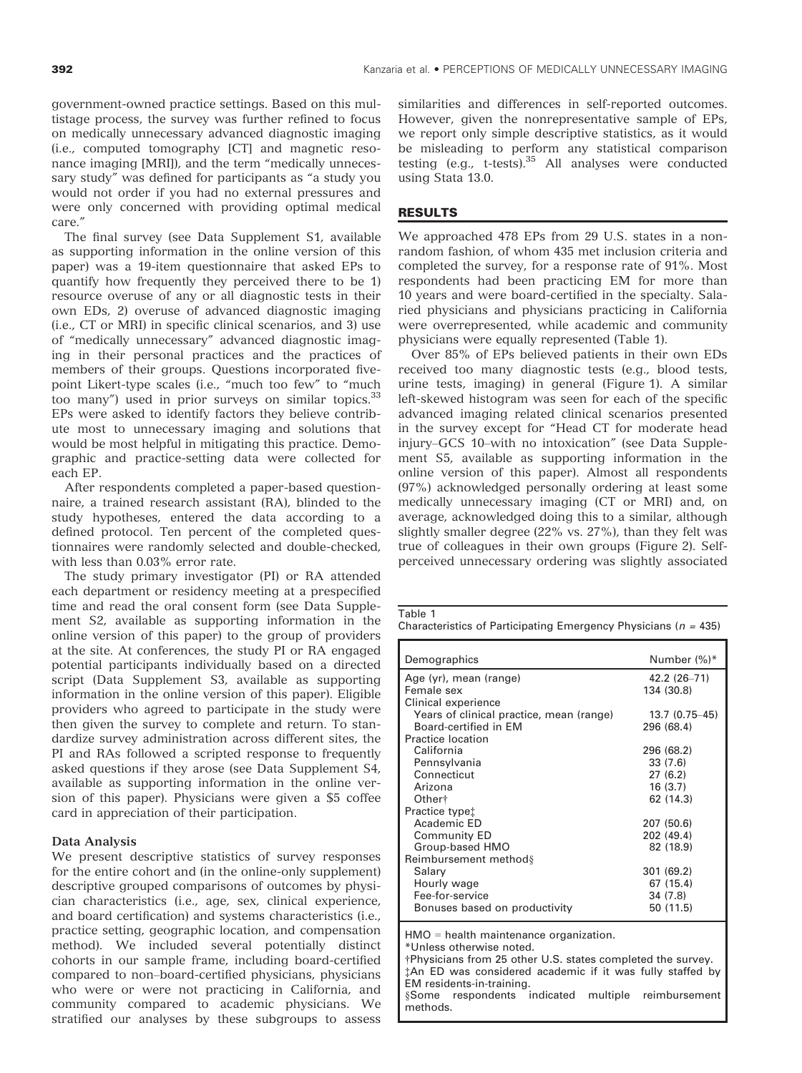government-owned practice settings. Based on this multistage process, the survey was further refined to focus on medically unnecessary advanced diagnostic imaging (i.e., computed tomography [CT] and magnetic resonance imaging [MRI]), and the term "medically unnecessary study" was defined for participants as "a study you would not order if you had no external pressures and were only concerned with providing optimal medical care."

The final survey (see Data Supplement S1, available as supporting information in the online version of this paper) was a 19-item questionnaire that asked EPs to quantify how frequently they perceived there to be 1) resource overuse of any or all diagnostic tests in their own EDs, 2) overuse of advanced diagnostic imaging (i.e., CT or MRI) in specific clinical scenarios, and 3) use of "medically unnecessary" advanced diagnostic imaging in their personal practices and the practices of members of their groups. Questions incorporated fivepoint Likert-type scales (i.e., "much too few" to "much too many") used in prior surveys on similar topics.<sup>33</sup> EPs were asked to identify factors they believe contribute most to unnecessary imaging and solutions that would be most helpful in mitigating this practice. Demographic and practice-setting data were collected for each EP.

After respondents completed a paper-based questionnaire, a trained research assistant (RA), blinded to the study hypotheses, entered the data according to a defined protocol. Ten percent of the completed questionnaires were randomly selected and double-checked, with less than 0.03% error rate.

The study primary investigator (PI) or RA attended each department or residency meeting at a prespecified time and read the oral consent form (see Data Supplement S2, available as supporting information in the online version of this paper) to the group of providers at the site. At conferences, the study PI or RA engaged potential participants individually based on a directed script (Data Supplement S3, available as supporting information in the online version of this paper). Eligible providers who agreed to participate in the study were then given the survey to complete and return. To standardize survey administration across different sites, the PI and RAs followed a scripted response to frequently asked questions if they arose (see Data Supplement S4, available as supporting information in the online version of this paper). Physicians were given a \$5 coffee card in appreciation of their participation.

### Data Analysis

We present descriptive statistics of survey responses for the entire cohort and (in the online-only supplement) descriptive grouped comparisons of outcomes by physician characteristics (i.e., age, sex, clinical experience, and board certification) and systems characteristics (i.e., practice setting, geographic location, and compensation method). We included several potentially distinct cohorts in our sample frame, including board-certified compared to non–board-certified physicians, physicians who were or were not practicing in California, and community compared to academic physicians. We stratified our analyses by these subgroups to assess

similarities and differences in self-reported outcomes. However, given the nonrepresentative sample of EPs, we report only simple descriptive statistics, as it would be misleading to perform any statistical comparison testing  $(e.g., t-tests).$ <sup>35</sup> All analyses were conducted using Stata 13.0.

# <u>results in the second second</u>

We approached 478 EPs from 29 U.S. states in a nonrandom fashion, of whom 435 met inclusion criteria and completed the survey, for a response rate of 91%. Most respondents had been practicing EM for more than 10 years and were board-certified in the specialty. Salaried physicians and physicians practicing in California were overrepresented, while academic and community physicians were equally represented (Table 1).

Over 85% of EPs believed patients in their own EDs received too many diagnostic tests (e.g., blood tests, urine tests, imaging) in general (Figure 1). A similar left-skewed histogram was seen for each of the specific advanced imaging related clinical scenarios presented in the survey except for "Head CT for moderate head injury–GCS 10–with no intoxication" (see Data Supplement S5, available as supporting information in the online version of this paper). Almost all respondents (97%) acknowledged personally ordering at least some medically unnecessary imaging (CT or MRI) and, on average, acknowledged doing this to a similar, although slightly smaller degree (22% vs. 27%), than they felt was true of colleagues in their own groups (Figure 2). Selfperceived unnecessary ordering was slightly associated

Table 1

Characteristics of Participating Emergency Physicians ( $n = 435$ )

| Demographics                             | Number (%)*    |
|------------------------------------------|----------------|
| Age (yr), mean (range)                   | 42.2 (26-71)   |
| Female sex                               | 134 (30.8)     |
| Clinical experience                      |                |
| Years of clinical practice, mean (range) | 13.7 (0.75-45) |
| Board-certified in EM                    | 296 (68.4)     |
| Practice location                        |                |
| California                               | 296 (68.2)     |
| Pennsylvania                             | 33(7.6)        |
| Connecticut                              | 27(6.2)        |
| Arizona                                  | 16(3.7)        |
| Other <sup>+</sup>                       | 62 (14.3)      |
| Practice typet                           |                |
| Academic ED                              | 207 (50.6)     |
| <b>Community ED</b>                      | 202 (49.4)     |
| Group-based HMO                          | 82 (18.9)      |
| Reimbursement method §                   |                |
| Salary                                   | 301(69.2)      |
| Hourly wage                              | 67 (15.4)      |
| Fee-for-service                          | 34 (7.8)       |
| Bonuses based on productivity            | 50 (11.5)      |

HMO = health maintenance organization.

\*Unless otherwise noted.

†Physicians from 25 other U.S. states completed the survey. ‡An ED was considered academic if it was fully staffed by EM residents-in-training. §Some respondents indicated multiple reimbursement methods.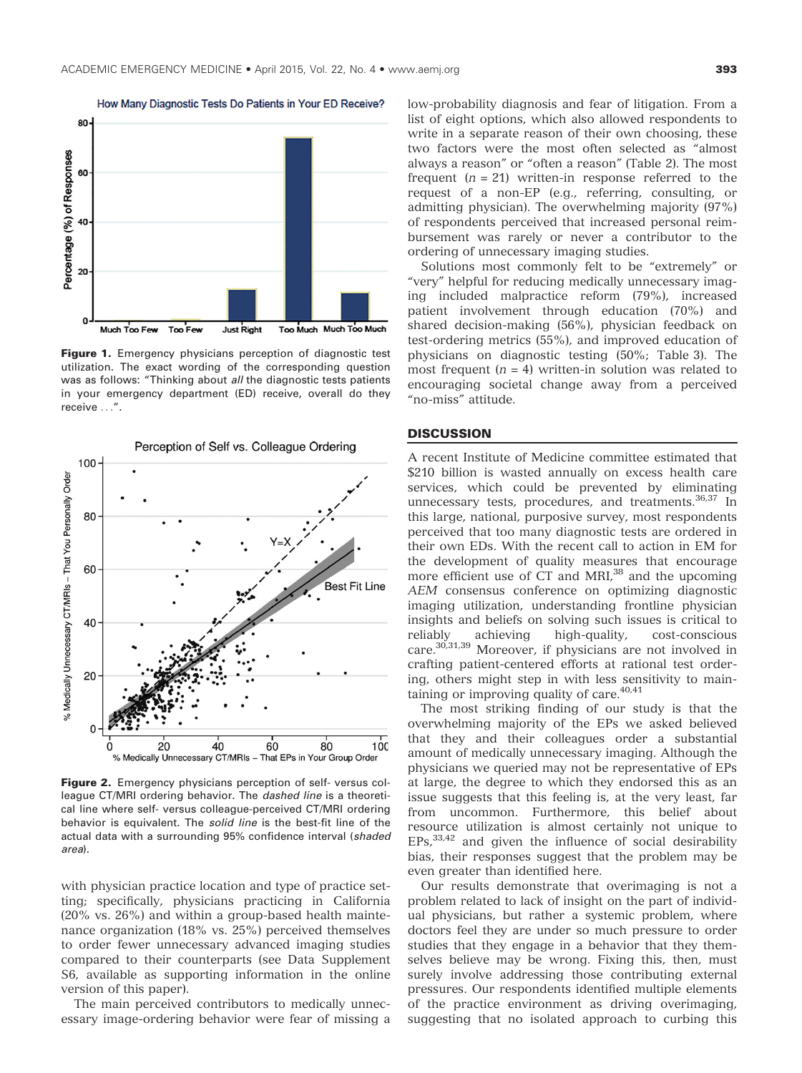

Figure 1. Emergency physicians perception of diagnostic test utilization. The exact wording of the corresponding question was as follows: "Thinking about all the diagnostic tests patients in your emergency department (ED) receive, overall do they receive ...".



Figure 2. Emergency physicians perception of self-versus colleague CT/MRI ordering behavior. The dashed line is a theoretical line where self- versus colleague-perceived CT/MRI ordering behavior is equivalent. The solid line is the best-fit line of the actual data with a surrounding 95% confidence interval (shaded area).

with physician practice location and type of practice setting; specifically, physicians practicing in California (20% vs. 26%) and within a group-based health maintenance organization (18% vs. 25%) perceived themselves to order fewer unnecessary advanced imaging studies compared to their counterparts (see Data Supplement S6, available as supporting information in the online version of this paper).

The main perceived contributors to medically unnecessary image-ordering behavior were fear of missing a low-probability diagnosis and fear of litigation. From a list of eight options, which also allowed respondents to write in a separate reason of their own choosing, these two factors were the most often selected as "almost always a reason" or "often a reason" (Table 2). The most frequent  $(n = 21)$  written-in response referred to the request of a non-EP (e.g., referring, consulting, or admitting physician). The overwhelming majority (97%) of respondents perceived that increased personal reimbursement was rarely or never a contributor to the ordering of unnecessary imaging studies.

Solutions most commonly felt to be "extremely" or "very" helpful for reducing medically unnecessary imaging included malpractice reform (79%), increased patient involvement through education (70%) and shared decision-making (56%), physician feedback on test-ordering metrics (55%), and improved education of physicians on diagnostic testing (50%; Table 3). The most frequent  $(n = 4)$  written-in solution was related to encouraging societal change away from a perceived "no-miss" attitude.

#### **DISCUSSION** <u>Discussion in discussion in discussion in discussion in discussion in discussion in discussion in discussion in </u>

A recent Institute of Medicine committee estimated that \$210 billion is wasted annually on excess health care services, which could be prevented by eliminating unnecessary tests, procedures, and treatments.<sup>36,37</sup> In this large, national, purposive survey, most respondents perceived that too many diagnostic tests are ordered in their own EDs. With the recent call to action in EM for the development of quality measures that encourage more efficient use of CT and MRI,<sup>38</sup> and the upcoming AEM consensus conference on optimizing diagnostic imaging utilization, understanding frontline physician insights and beliefs on solving such issues is critical to reliably achieving high-quality, cost-conscious care.30,31,39 Moreover, if physicians are not involved in crafting patient-centered efforts at rational test ordering, others might step in with less sensitivity to maintaining or improving quality of care.<sup>40,41</sup>

The most striking finding of our study is that the overwhelming majority of the EPs we asked believed that they and their colleagues order a substantial amount of medically unnecessary imaging. Although the physicians we queried may not be representative of EPs at large, the degree to which they endorsed this as an issue suggests that this feeling is, at the very least, far from uncommon. Furthermore, this belief about resource utilization is almost certainly not unique to  $EPs$ ,  $33,42$  and given the influence of social desirability bias, their responses suggest that the problem may be even greater than identified here.

Our results demonstrate that overimaging is not a problem related to lack of insight on the part of individual physicians, but rather a systemic problem, where doctors feel they are under so much pressure to order studies that they engage in a behavior that they themselves believe may be wrong. Fixing this, then, must surely involve addressing those contributing external pressures. Our respondents identified multiple elements of the practice environment as driving overimaging, suggesting that no isolated approach to curbing this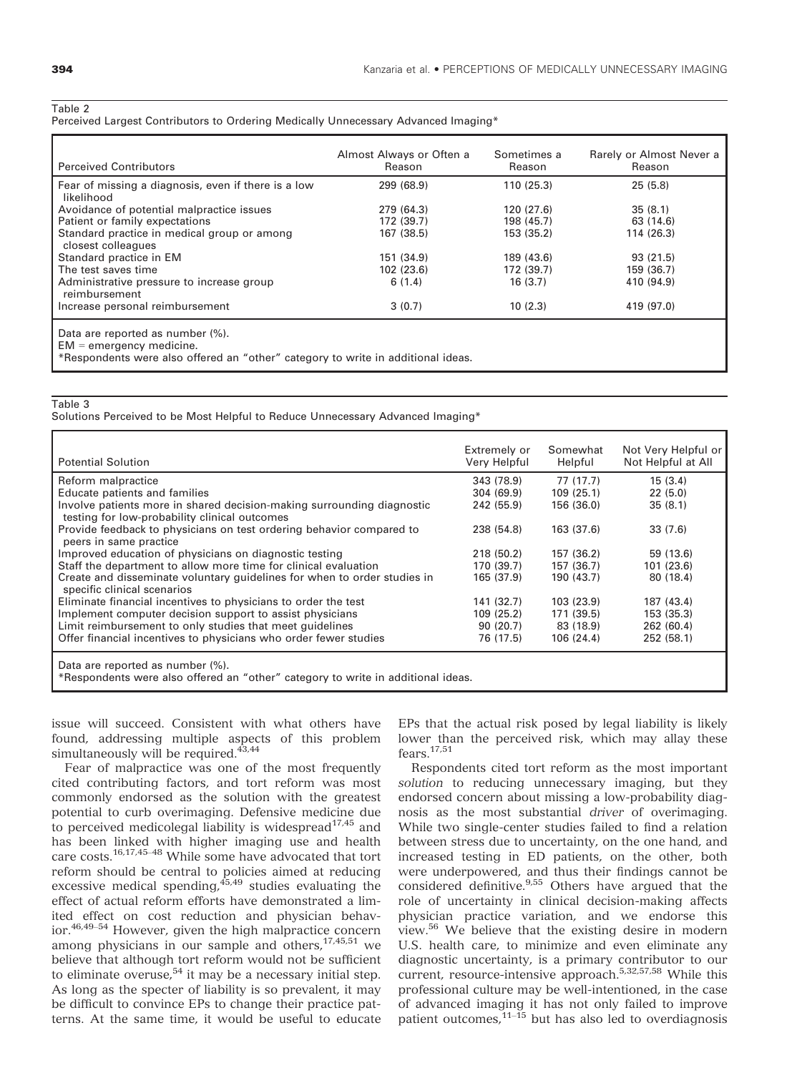#### Table 2

Perceived Largest Contributors to Ordering Medically Unnecessary Advanced Imaging\*

| <b>Perceived Contributors</b>                                                                                                                      | Almost Always or Often a<br>Reason | Sometimes a<br>Reason | Rarely or Almost Never a<br>Reason |
|----------------------------------------------------------------------------------------------------------------------------------------------------|------------------------------------|-----------------------|------------------------------------|
| Fear of missing a diagnosis, even if there is a low<br>likelihood                                                                                  | 299 (68.9)                         | 110 (25.3)            | 25(5.8)                            |
| Avoidance of potential malpractice issues                                                                                                          | 279 (64.3)                         | 120(27.6)             | 35(8.1)                            |
| Patient or family expectations                                                                                                                     | 172 (39.7)                         | 198 (45.7)            | 63 (14.6)                          |
| Standard practice in medical group or among<br>closest colleagues                                                                                  | 167 (38.5)                         | 153 (35.2)            | 114 (26.3)                         |
| Standard practice in EM                                                                                                                            | 151 (34.9)                         | 189 (43.6)            | 93(21.5)                           |
| The test saves time                                                                                                                                | 102(23.6)                          | 172 (39.7)            | 159 (36.7)                         |
| Administrative pressure to increase group<br>reimbursement                                                                                         | 6(1.4)                             | 16(3.7)               | 410 (94.9)                         |
| Increase personal reimbursement                                                                                                                    | 3(0.7)                             | 10(2.3)               | 419 (97.0)                         |
| Data are reported as number (%).<br>$EM =$ emergency medicine.<br>*Respondents were also offered an "other" category to write in additional ideas. |                                    |                       |                                    |

### Table 3

Solutions Perceived to be Most Helpful to Reduce Unnecessary Advanced Imaging\*

|                                                                                  | Extremely or | Somewhat   | Not Very Helpful or |
|----------------------------------------------------------------------------------|--------------|------------|---------------------|
| <b>Potential Solution</b>                                                        | Very Helpful | Helpful    | Not Helpful at All  |
| Reform malpractice                                                               | 343 (78.9)   | 77 (17.7)  | 15(3.4)             |
| Educate patients and families                                                    | 304 (69.9)   | 109(25.1)  | 22(5.0)             |
| Involve patients more in shared decision-making surrounding diagnostic           | 242 (55.9)   | 156 (36.0) | 35(8.1)             |
| testing for low-probability clinical outcomes                                    |              |            |                     |
| Provide feedback to physicians on test ordering behavior compared to             | 238 (54.8)   | 163 (37.6) | 33(7.6)             |
| peers in same practice                                                           |              |            |                     |
| Improved education of physicians on diagnostic testing                           | 218 (50.2)   | 157 (36.2) | 59 (13.6)           |
| Staff the department to allow more time for clinical evaluation                  | 170 (39.7)   | 157 (36.7) | 101(23.6)           |
| Create and disseminate voluntary quidelines for when to order studies in         | 165 (37.9)   | 190 (43.7) | 80 (18.4)           |
| specific clinical scenarios                                                      |              |            |                     |
| Eliminate financial incentives to physicians to order the test                   | 141 (32.7)   | 103 (23.9) | 187 (43.4)          |
| Implement computer decision support to assist physicians                         | 109(25.2)    | 171 (39.5) | 153 (35.3)          |
| Limit reimbursement to only studies that meet guidelines                         | 90(20.7)     | 83 (18.9)  | 262 (60.4)          |
| Offer financial incentives to physicians who order fewer studies                 | 76 (17.5)    | 106(24.4)  | 252 (58.1)          |
|                                                                                  |              |            |                     |
| Data are reported as number (%).                                                 |              |            |                     |
| *Respondents were also offered an "other" category to write in additional ideas. |              |            |                     |

issue will succeed. Consistent with what others have found, addressing multiple aspects of this problem simultaneously will be required. $43,44$ 

Fear of malpractice was one of the most frequently cited contributing factors, and tort reform was most commonly endorsed as the solution with the greatest potential to curb overimaging. Defensive medicine due to perceived medicolegal liability is widespread $17,45$  and has been linked with higher imaging use and health care costs.16,17,45–<sup>48</sup> While some have advocated that tort reform should be central to policies aimed at reducing excessive medical spending,  $45,49$  studies evaluating the effect of actual reform efforts have demonstrated a limited effect on cost reduction and physician behavior.46,49–<sup>54</sup> However, given the high malpractice concern among physicians in our sample and others, $17,45,51$  we believe that although tort reform would not be sufficient to eliminate overuse, $54$  it may be a necessary initial step. As long as the specter of liability is so prevalent, it may be difficult to convince EPs to change their practice patterns. At the same time, it would be useful to educate EPs that the actual risk posed by legal liability is likely lower than the perceived risk, which may allay these fears.17,51

Respondents cited tort reform as the most important solution to reducing unnecessary imaging, but they endorsed concern about missing a low-probability diagnosis as the most substantial driver of overimaging. While two single-center studies failed to find a relation between stress due to uncertainty, on the one hand, and increased testing in ED patients, on the other, both were underpowered, and thus their findings cannot be considered definitive.<sup>9,55</sup> Others have argued that the role of uncertainty in clinical decision-making affects physician practice variation, and we endorse this view.56 We believe that the existing desire in modern U.S. health care, to minimize and even eliminate any diagnostic uncertainty, is a primary contributor to our current, resource-intensive approach.5,32,57,58 While this professional culture may be well-intentioned, in the case of advanced imaging it has not only failed to improve patient outcomes, $11-\frac{15}{15}$  but has also led to overdiagnosis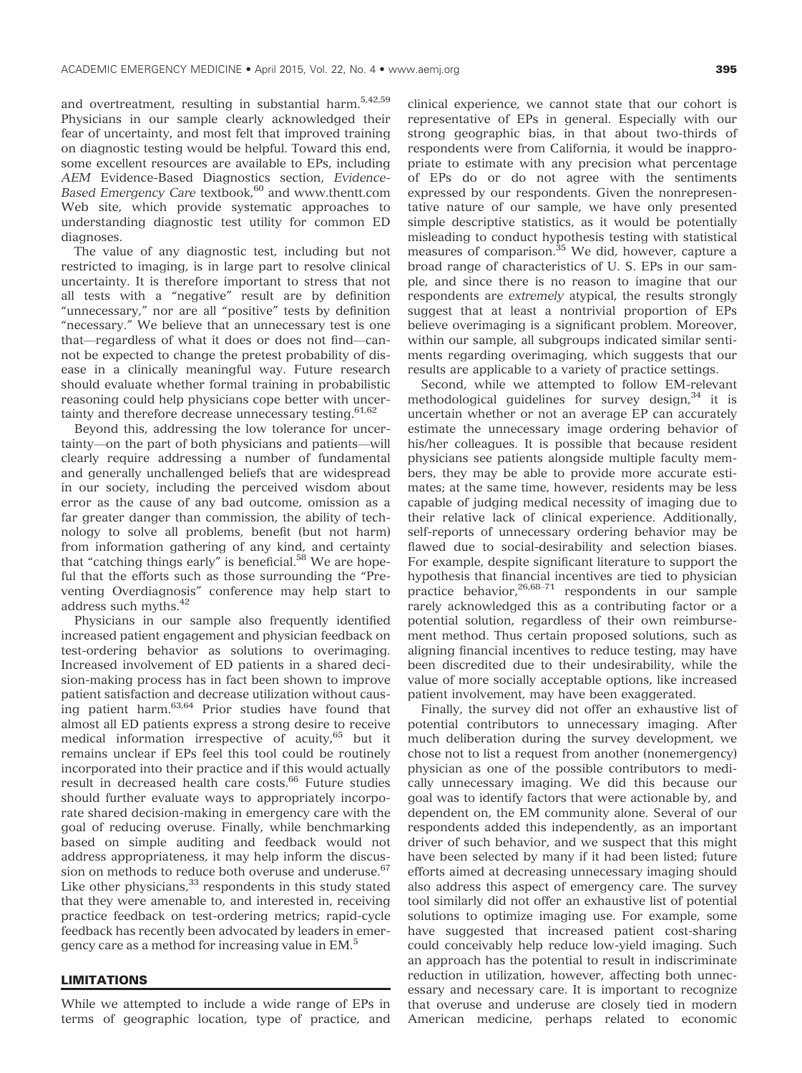and overtreatment, resulting in substantial harm.5,42,59 Physicians in our sample clearly acknowledged their fear of uncertainty, and most felt that improved training on diagnostic testing would be helpful. Toward this end, some excellent resources are available to EPs, including AEM Evidence-Based Diagnostics section, EvidenceBased Emergency Care textbook,<sup>60</sup> and [www.thentt.com](http://www.thentt.com) Web site, which provide systematic approaches to understanding diagnostic test utility for common ED diagnoses.

The value of any diagnostic test, including but not restricted to imaging, is in large part to resolve clinical uncertainty. It is therefore important to stress that not all tests with a "negative" result are by definition "unnecessary," nor are all "positive" tests by definition "necessary." We believe that an unnecessary test is one that—regardless of what it does or does not find—cannot be expected to change the pretest probability of disease in a clinically meaningful way. Future research should evaluate whether formal training in probabilistic reasoning could help physicians cope better with uncertainty and therefore decrease unnecessary testing.<sup>61,62</sup>

Beyond this, addressing the low tolerance for uncertainty—on the part of both physicians and patients—will clearly require addressing a number of fundamental and generally unchallenged beliefs that are widespread in our society, including the perceived wisdom about error as the cause of any bad outcome, omission as a far greater danger than commission, the ability of technology to solve all problems, benefit (but not harm) from information gathering of any kind, and certainty that "catching things early" is beneficial.<sup>58</sup> We are hopeful that the efforts such as those surrounding the "Preventing Overdiagnosis" conference may help start to address such myths.<sup>42</sup>

Physicians in our sample also frequently identified increased patient engagement and physician feedback on test-ordering behavior as solutions to overimaging. Increased involvement of ED patients in a shared decision-making process has in fact been shown to improve patient satisfaction and decrease utilization without causing patient harm.63,64 Prior studies have found that almost all ED patients express a strong desire to receive medical information irrespective of acuity,<sup>65</sup> but it remains unclear if EPs feel this tool could be routinely incorporated into their practice and if this would actually result in decreased health care costs.<sup>66</sup> Future studies should further evaluate ways to appropriately incorporate shared decision-making in emergency care with the goal of reducing overuse. Finally, while benchmarking based on simple auditing and feedback would not address appropriateness, it may help inform the discussion on methods to reduce both overuse and underuse.<sup>67</sup> Like other physicians, $33$  respondents in this study stated that they were amenable to, and interested in, receiving practice feedback on test-ordering metrics; rapid-cycle feedback has recently been advocated by leaders in emergency care as a method for increasing value in EM.<sup>5</sup>

# <u>Limitation in the second second</u>

While we attempted to include a wide range of EPs in terms of geographic location, type of practice, and clinical experience, we cannot state that our cohort is representative of EPs in general. Especially with our strong geographic bias, in that about two-thirds of respondents were from California, it would be inappropriate to estimate with any precision what percentage of EPs do or do not agree with the sentiments expressed by our respondents. Given the nonrepresentative nature of our sample, we have only presented simple descriptive statistics, as it would be potentially misleading to conduct hypothesis testing with statistical measures of comparison.<sup>35</sup> We did, however, capture a broad range of characteristics of U. S. EPs in our sample, and since there is no reason to imagine that our respondents are extremely atypical, the results strongly suggest that at least a nontrivial proportion of EPs believe overimaging is a significant problem. Moreover, within our sample, all subgroups indicated similar sentiments regarding overimaging, which suggests that our results are applicable to a variety of practice settings.

Second, while we attempted to follow EM-relevant methodological guidelines for survey design, $34$  it is uncertain whether or not an average EP can accurately estimate the unnecessary image ordering behavior of his/her colleagues. It is possible that because resident physicians see patients alongside multiple faculty members, they may be able to provide more accurate estimates; at the same time, however, residents may be less capable of judging medical necessity of imaging due to their relative lack of clinical experience. Additionally, self-reports of unnecessary ordering behavior may be flawed due to social-desirability and selection biases. For example, despite significant literature to support the hypothesis that financial incentives are tied to physician practice behavior,  $26,68-71$  respondents in our sample rarely acknowledged this as a contributing factor or a potential solution, regardless of their own reimbursement method. Thus certain proposed solutions, such as aligning financial incentives to reduce testing, may have been discredited due to their undesirability, while the value of more socially acceptable options, like increased patient involvement, may have been exaggerated.

Finally, the survey did not offer an exhaustive list of potential contributors to unnecessary imaging. After much deliberation during the survey development, we chose not to list a request from another (nonemergency) physician as one of the possible contributors to medically unnecessary imaging. We did this because our goal was to identify factors that were actionable by, and dependent on, the EM community alone. Several of our respondents added this independently, as an important driver of such behavior, and we suspect that this might have been selected by many if it had been listed; future efforts aimed at decreasing unnecessary imaging should also address this aspect of emergency care. The survey tool similarly did not offer an exhaustive list of potential solutions to optimize imaging use. For example, some have suggested that increased patient cost-sharing could conceivably help reduce low-yield imaging. Such an approach has the potential to result in indiscriminate reduction in utilization, however, affecting both unnecessary and necessary care. It is important to recognize that overuse and underuse are closely tied in modern American medicine, perhaps related to economic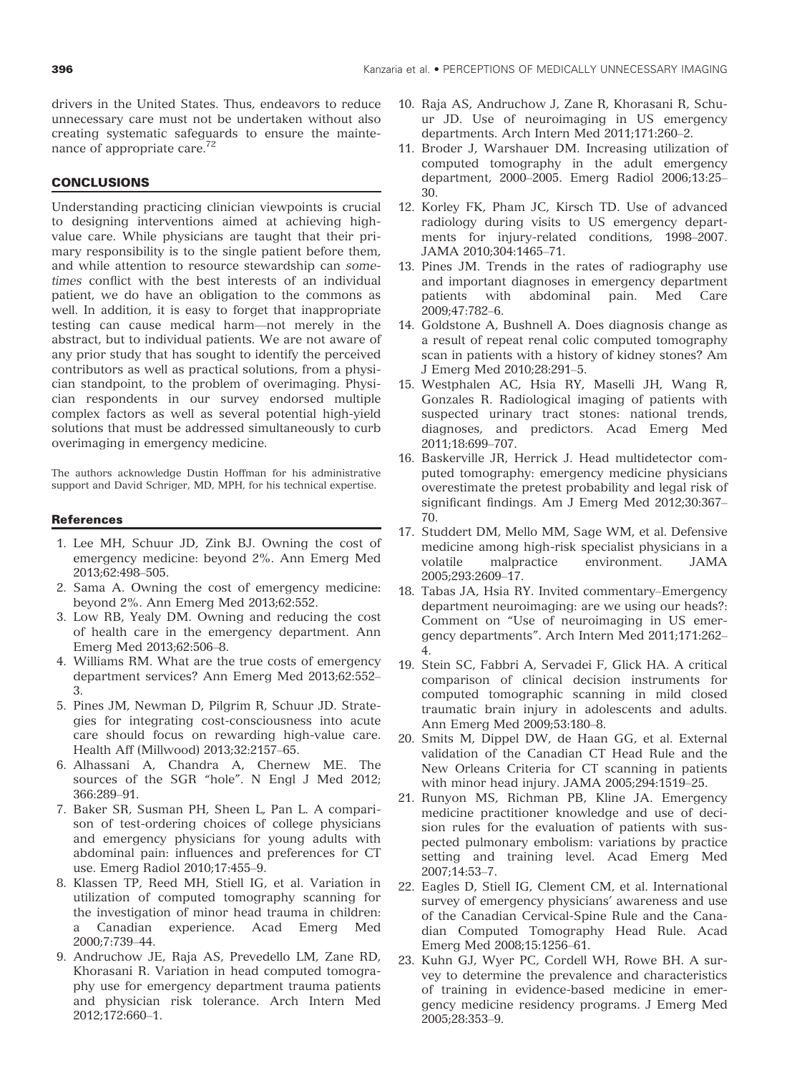drivers in the United States. Thus, endeavors to reduce unnecessary care must not be undertaken without also creating systematic safeguards to ensure the maintenance of appropriate care.72

# Concert of the concert of the concert of the concert of the concert of the concert of the concert of the concert

Understanding practicing clinician viewpoints is crucial to designing interventions aimed at achieving highvalue care. While physicians are taught that their primary responsibility is to the single patient before them, and while attention to resource stewardship can sometimes conflict with the best interests of an individual patient, we do have an obligation to the commons as well. In addition, it is easy to forget that inappropriate testing can cause medical harm—not merely in the abstract, but to individual patients. We are not aware of any prior study that has sought to identify the perceived contributors as well as practical solutions, from a physician standpoint, to the problem of overimaging. Physician respondents in our survey endorsed multiple complex factors as well as several potential high-yield solutions that must be addressed simultaneously to curb overimaging in emergency medicine.

The authors acknowledge Dustin Hoffman for his administrative support and David Schriger, MD, MPH, for his technical expertise.

#### **References** References

- 1. Lee MH, Schuur JD, Zink BJ. Owning the cost of emergency medicine: beyond 2%. Ann Emerg Med 2013;62:498–505.
- 2. Sama A. Owning the cost of emergency medicine: beyond 2%. Ann Emerg Med 2013;62:552.
- 3. Low RB, Yealy DM. Owning and reducing the cost of health care in the emergency department. Ann Emerg Med 2013;62:506–8.
- 4. Williams RM. What are the true costs of emergency department services? Ann Emerg Med 2013;62:552– 3.
- 5. Pines JM, Newman D, Pilgrim R, Schuur JD. Strategies for integrating cost-consciousness into acute care should focus on rewarding high-value care. Health Aff (Millwood) 2013;32:2157–65.
- 6. Alhassani A, Chandra A, Chernew ME. The sources of the SGR "hole". N Engl J Med 2012; 366:289–91.
- 7. Baker SR, Susman PH, Sheen L, Pan L. A comparison of test-ordering choices of college physicians and emergency physicians for young adults with abdominal pain: influences and preferences for CT use. Emerg Radiol 2010;17:455–9.
- 8. Klassen TP, Reed MH, Stiell IG, et al. Variation in utilization of computed tomography scanning for the investigation of minor head trauma in children: Canadian experience. Acad Emerg Med 2000;7:739–44.
- 9. Andruchow JE, Raja AS, Prevedello LM, Zane RD, Khorasani R. Variation in head computed tomography use for emergency department trauma patients and physician risk tolerance. Arch Intern Med 2012;172:660–1.
- 10. Raja AS, Andruchow J, Zane R, Khorasani R, Schuur JD. Use of neuroimaging in US emergency departments. Arch Intern Med 2011;171:260–2.
- 11. Broder J, Warshauer DM. Increasing utilization of computed tomography in the adult emergency department, 2000–2005. Emerg Radiol 2006;13:25– 30.
- 12. Korley FK, Pham JC, Kirsch TD. Use of advanced radiology during visits to US emergency departments for injury-related conditions, 1998–2007. JAMA 2010;304:1465–71.
- 13. Pines JM. Trends in the rates of radiography use and important diagnoses in emergency department patients with abdominal pain. Med Care 2009;47:782–6.
- 14. Goldstone A, Bushnell A. Does diagnosis change as a result of repeat renal colic computed tomography scan in patients with a history of kidney stones? Am J Emerg Med 2010;28:291–5.
- 15. Westphalen AC, Hsia RY, Maselli JH, Wang R, Gonzales R. Radiological imaging of patients with suspected urinary tract stones: national trends, diagnoses, and predictors. Acad Emerg Med 2011;18:699–707.
- 16. Baskerville JR, Herrick J. Head multidetector computed tomography: emergency medicine physicians overestimate the pretest probability and legal risk of significant findings. Am J Emerg Med 2012;30:367– 70.
- 17. Studdert DM, Mello MM, Sage WM, et al. Defensive medicine among high-risk specialist physicians in a volatile malpractice environment. JAMA 2005;293:2609–17.
- 18. Tabas JA, Hsia RY. Invited commentary–Emergency department neuroimaging: are we using our heads?: Comment on "Use of neuroimaging in US emergency departments". Arch Intern Med 2011;171:262– 4.
- 19. Stein SC, Fabbri A, Servadei F, Glick HA. A critical comparison of clinical decision instruments for computed tomographic scanning in mild closed traumatic brain injury in adolescents and adults. Ann Emerg Med 2009;53:180–8.
- 20. Smits M, Dippel DW, de Haan GG, et al. External validation of the Canadian CT Head Rule and the New Orleans Criteria for CT scanning in patients with minor head injury. JAMA 2005;294:1519–25.
- 21. Runyon MS, Richman PB, Kline JA. Emergency medicine practitioner knowledge and use of decision rules for the evaluation of patients with suspected pulmonary embolism: variations by practice setting and training level. Acad Emerg Med 2007;14:53–7.
- 22. Eagles D, Stiell IG, Clement CM, et al. International survey of emergency physicians' awareness and use of the Canadian Cervical-Spine Rule and the Canadian Computed Tomography Head Rule. Acad Emerg Med 2008;15:1256–61.
- 23. Kuhn GJ, Wyer PC, Cordell WH, Rowe BH. A survey to determine the prevalence and characteristics of training in evidence-based medicine in emergency medicine residency programs. J Emerg Med 2005;28:353–9.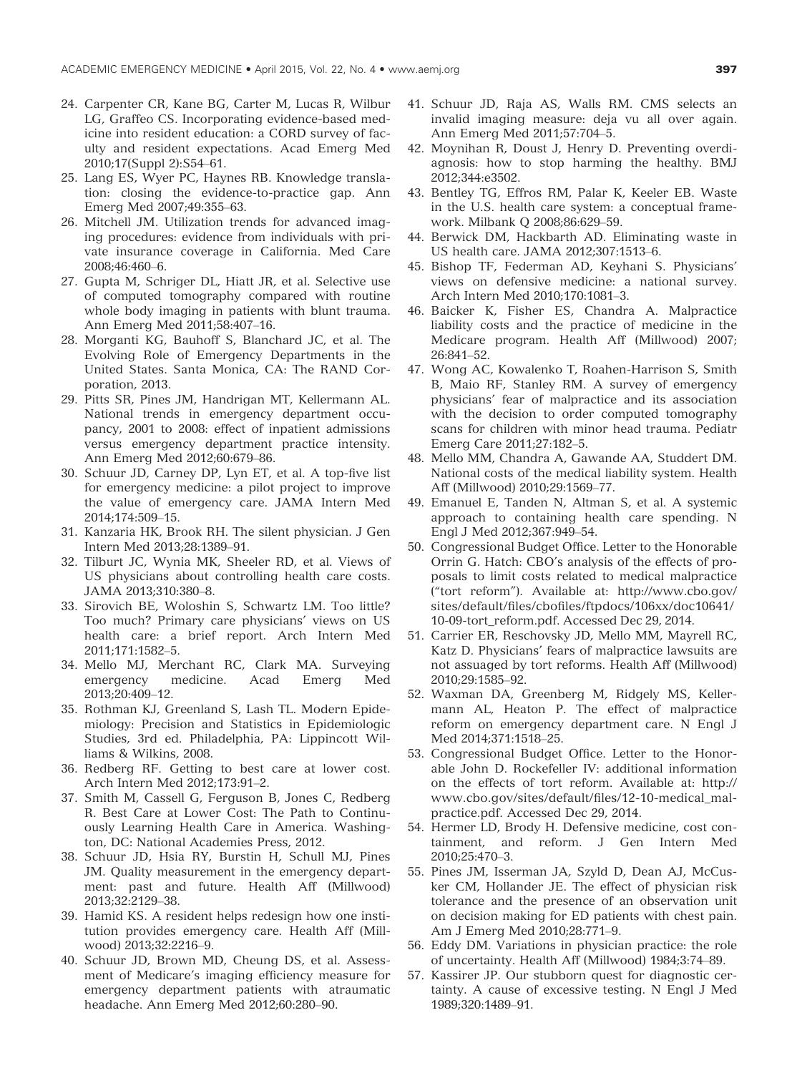- 24. Carpenter CR, Kane BG, Carter M, Lucas R, Wilbur LG, Graffeo CS. Incorporating evidence-based medicine into resident education: a CORD survey of faculty and resident expectations. Acad Emerg Med 2010;17(Suppl 2):S54–61.
- 25. Lang ES, Wyer PC, Haynes RB. Knowledge translation: closing the evidence-to-practice gap. Ann Emerg Med 2007;49:355–63.
- 26. Mitchell JM. Utilization trends for advanced imaging procedures: evidence from individuals with private insurance coverage in California. Med Care 2008;46:460–6.
- 27. Gupta M, Schriger DL, Hiatt JR, et al. Selective use of computed tomography compared with routine whole body imaging in patients with blunt trauma. Ann Emerg Med 2011;58:407–16.
- 28. Morganti KG, Bauhoff S, Blanchard JC, et al. The Evolving Role of Emergency Departments in the United States. Santa Monica, CA: The RAND Corporation, 2013.
- 29. Pitts SR, Pines JM, Handrigan MT, Kellermann AL. National trends in emergency department occupancy, 2001 to 2008: effect of inpatient admissions versus emergency department practice intensity. Ann Emerg Med 2012;60:679–86.
- 30. Schuur JD, Carney DP, Lyn ET, et al. A top-five list for emergency medicine: a pilot project to improve the value of emergency care. JAMA Intern Med 2014;174:509–15.
- 31. Kanzaria HK, Brook RH. The silent physician. J Gen Intern Med 2013;28:1389–91.
- 32. Tilburt JC, Wynia MK, Sheeler RD, et al. Views of US physicians about controlling health care costs. JAMA 2013;310:380–8.
- 33. Sirovich BE, Woloshin S, Schwartz LM. Too little? Too much? Primary care physicians' views on US health care: a brief report. Arch Intern Med 2011;171:1582–5.
- 34. Mello MJ, Merchant RC, Clark MA. Surveying emergency medicine. Acad Emerg Med 2013;20:409–12.
- 35. Rothman KJ, Greenland S, Lash TL. Modern Epidemiology: Precision and Statistics in Epidemiologic Studies, 3rd ed. Philadelphia, PA: Lippincott Williams & Wilkins, 2008.
- 36. Redberg RF. Getting to best care at lower cost. Arch Intern Med 2012;173:91–2.
- 37. Smith M, Cassell G, Ferguson B, Jones C, Redberg R. Best Care at Lower Cost: The Path to Continuously Learning Health Care in America. Washington, DC: National Academies Press, 2012.
- 38. Schuur JD, Hsia RY, Burstin H, Schull MJ, Pines JM. Quality measurement in the emergency department: past and future. Health Aff (Millwood) 2013;32:2129–38.
- 39. Hamid KS. A resident helps redesign how one institution provides emergency care. Health Aff (Millwood) 2013;32:2216–9.
- 40. Schuur JD, Brown MD, Cheung DS, et al. Assessment of Medicare's imaging efficiency measure for emergency department patients with atraumatic headache. Ann Emerg Med 2012;60:280–90.
- 41. Schuur JD, Raja AS, Walls RM. CMS selects an invalid imaging measure: deja vu all over again. Ann Emerg Med 2011;57:704–5.
- 42. Moynihan R, Doust J, Henry D. Preventing overdiagnosis: how to stop harming the healthy. BMJ 2012;344:e3502.
- 43. Bentley TG, Effros RM, Palar K, Keeler EB. Waste in the U.S. health care system: a conceptual framework. Milbank Q 2008;86:629–59.
- 44. Berwick DM, Hackbarth AD. Eliminating waste in US health care. JAMA 2012;307:1513–6.
- 45. Bishop TF, Federman AD, Keyhani S. Physicians' views on defensive medicine: a national survey. Arch Intern Med 2010;170:1081–3.
- 46. Baicker K, Fisher ES, Chandra A. Malpractice liability costs and the practice of medicine in the Medicare program. Health Aff (Millwood) 2007; 26:841–52.
- 47. Wong AC, Kowalenko T, Roahen-Harrison S, Smith B, Maio RF, Stanley RM. A survey of emergency physicians' fear of malpractice and its association with the decision to order computed tomography scans for children with minor head trauma. Pediatr Emerg Care 2011;27:182–5.
- 48. Mello MM, Chandra A, Gawande AA, Studdert DM. National costs of the medical liability system. Health Aff (Millwood) 2010;29:1569–77.
- 49. Emanuel E, Tanden N, Altman S, et al. A systemic approach to containing health care spending. N Engl J Med 2012;367:949–54.
- 50. Congressional Budget Office. Letter to the Honorable Orrin G. Hatch: CBO's analysis of the effects of proposals to limit costs related to medical malpractice ("tort reform"). Available at: [http://www.cbo.gov/](http://www.cbo.gov/sites/default/files/cbofiles/ftpdocs/106xx/doc10641/10-09-tort_reform.pdf) sites/default/files/cbofi[les/ftpdocs/106xx/doc10641/](http://www.cbo.gov/sites/default/files/cbofiles/ftpdocs/106xx/doc10641/10-09-tort_reform.pdf) [10-09-tort\\_reform.pdf](http://www.cbo.gov/sites/default/files/cbofiles/ftpdocs/106xx/doc10641/10-09-tort_reform.pdf). Accessed Dec 29, 2014.
- 51. Carrier ER, Reschovsky JD, Mello MM, Mayrell RC, Katz D. Physicians' fears of malpractice lawsuits are not assuaged by tort reforms. Health Aff (Millwood) 2010;29:1585–92.
- 52. Waxman DA, Greenberg M, Ridgely MS, Kellermann AL, Heaton P. The effect of malpractice reform on emergency department care. N Engl J Med 2014;371:1518–25.
- 53. Congressional Budget Office. Letter to the Honorable John D. Rockefeller IV: additional information on the effects of tort reform. Available at: [http://](http://www.cbo.gov/sites/default/files/12-10-medical_malpractice.pdf) [www.cbo.gov/sites/default/](http://www.cbo.gov/sites/default/files/12-10-medical_malpractice.pdf)files/12-10-medical\_mal[practice.pdf.](http://www.cbo.gov/sites/default/files/12-10-medical_malpractice.pdf) Accessed Dec 29, 2014.
- 54. Hermer LD, Brody H. Defensive medicine, cost containment, and reform. J Gen Intern Med 2010;25:470–3.
- 55. Pines JM, Isserman JA, Szyld D, Dean AJ, McCusker CM, Hollander JE. The effect of physician risk tolerance and the presence of an observation unit on decision making for ED patients with chest pain. Am J Emerg Med 2010;28:771–9.
- 56. Eddy DM. Variations in physician practice: the role of uncertainty. Health Aff (Millwood) 1984;3:74–89.
- 57. Kassirer JP. Our stubborn quest for diagnostic certainty. A cause of excessive testing. N Engl J Med 1989;320:1489–91.